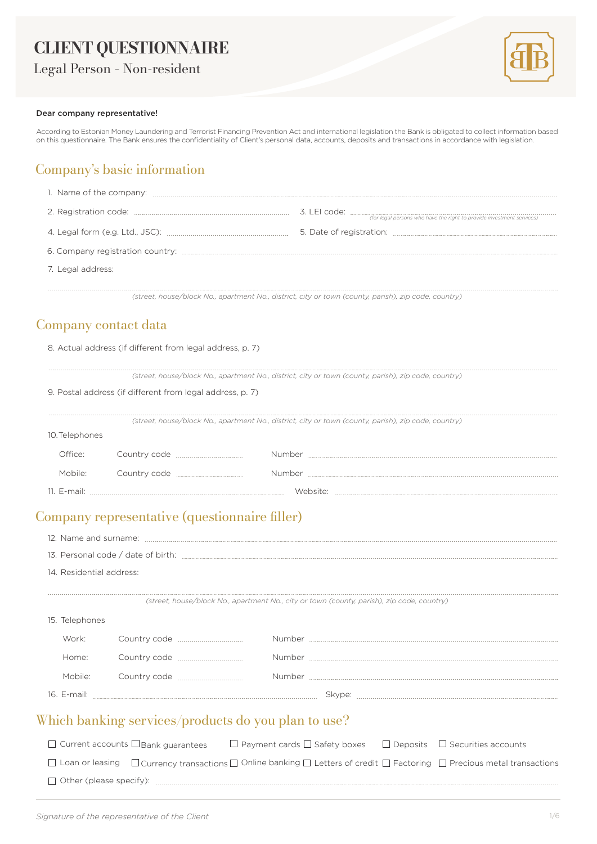# **CLIENT QUESTIONNAIRE**

Legal Person – Non-resident



#### Dear company representative!

According to Estonian Money Laundering and Terrorist Financing Prevention Act and international legislation the Bank is obligated to collect information based on this questionnaire. The Bank ensures the confidentiality of Client's personal data, accounts, deposits and transactions in accordance with legislation.

## Company's basic information

| 7. Legal address: |  |
|-------------------|--|
|                   |  |

*(street, house/block No., apartment No., district, city or town (county, parish), zip code, country)*

#### Company contact data

|  |  | 8. Actual address (if different from legal address, p. 7) |
|--|--|-----------------------------------------------------------|
|--|--|-----------------------------------------------------------|

*(street, house/block No., apartment No., district, city or town (county, parish), zip code, country)*

|                | 9. Postal address (if different from legal address, p. 7) |                                                                                                      |
|----------------|-----------------------------------------------------------|------------------------------------------------------------------------------------------------------|
|                |                                                           | (street, house/block No., apartment No., district, city or town (county, parish), zip code, country) |
| 10. Telephones |                                                           |                                                                                                      |
| Office:        |                                                           | <b>umber</b>                                                                                         |
| Mobile:        | Country code <b>contract of the Country code</b>          | Number                                                                                               |
| 11. E-mail:    |                                                           |                                                                                                      |

# Company representative (questionnaire filler)

|                                                     | 14. Residential address: |                                    |                                                                                            |                                                                                                                                                        |
|-----------------------------------------------------|--------------------------|------------------------------------|--------------------------------------------------------------------------------------------|--------------------------------------------------------------------------------------------------------------------------------------------------------|
|                                                     |                          |                                    | (street, house/block No., apartment No., city or town (county, parish), zip code, country) |                                                                                                                                                        |
|                                                     | 15. Telephones           |                                    |                                                                                            |                                                                                                                                                        |
|                                                     | Work:                    | Country code <u>manual country</u> |                                                                                            |                                                                                                                                                        |
|                                                     | Home:                    |                                    |                                                                                            |                                                                                                                                                        |
|                                                     | Mobile:                  |                                    |                                                                                            |                                                                                                                                                        |
|                                                     |                          |                                    |                                                                                            |                                                                                                                                                        |
| Which banking services/products do you plan to use? |                          |                                    |                                                                                            |                                                                                                                                                        |
|                                                     |                          |                                    |                                                                                            | $\Box$ Current accounts $\Box$ Bank guarantees $\Box$ Payment cards $\Box$ Safety boxes $\Box$ Deposits $\Box$ Securities accounts                     |
|                                                     |                          |                                    |                                                                                            | $\Box$ Loan or leasing $\Box$ Currency transactions $\Box$ Online banking $\Box$ Letters of credit $\Box$ Factoring $\Box$ Precious metal transactions |
|                                                     |                          |                                    |                                                                                            |                                                                                                                                                        |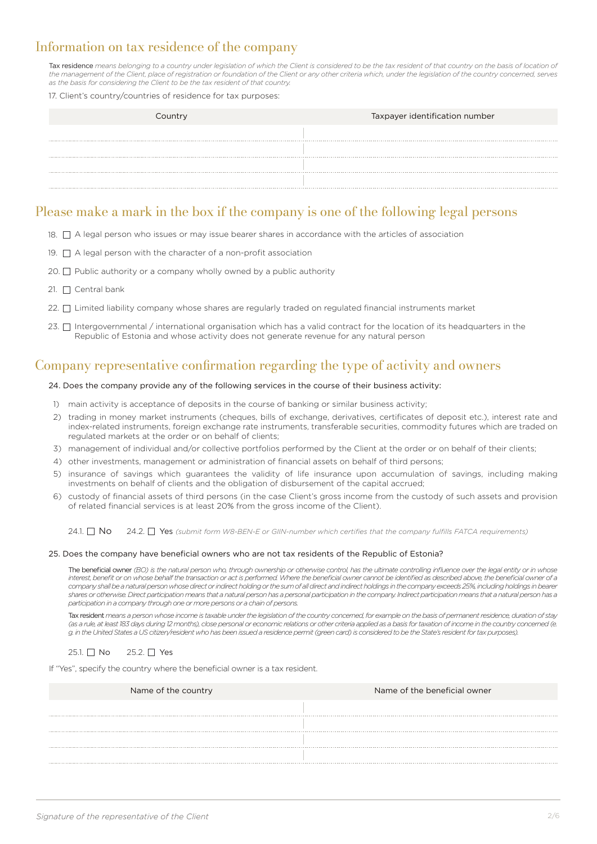### Information on tax residence of the company

Tax residence means belonging to a country under legislation of which the Client is considered to be the tax resident of that country on the basis of location of *the management of the Client, place of registration or foundation of the Client or any other criteria which, under the legislation of the country concerned, serves as the basis for considering the Client to be the tax resident of that country.*

#### 17. Client's country/countries of residence for tax purposes:

| Taxpayer identification number<br>Country |
|-------------------------------------------|
|                                           |
|                                           |
|                                           |
|                                           |
|                                           |

#### Please make a mark in the box if the company is one of the following legal persons

- 18.  $\Box$  A legal person who issues or may issue bearer shares in accordance with the articles of association
- 19.  $\Box$  A legal person with the character of a non-profit association
- 20.  $\Box$  Public authority or a company wholly owned by a public authority
- 21.  $\Box$  Central bank
- 22.  $\Box$  Limited liability company whose shares are regularly traded on regulated financial instruments market
- 23. □ Intergovernmental / international organisation which has a valid contract for the location of its headquarters in the Republic of Estonia and whose activity does not generate revenue for any natural person

#### Company representative confirmation regarding the type of activity and owners

#### 24. Does the company provide any of the following services in the course of their business activity:

- 1) main activity is acceptance of deposits in the course of banking or similar business activity;
- 2) trading in money market instruments (cheques, bills of exchange, derivatives, certificates of deposit etc.), interest rate and index-related instruments, foreign exchange rate instruments, transferable securities, commodity futures which are traded on regulated markets at the order or on behalf of clients;
- 3) management of individual and/or collective portfolios performed by the Client at the order or on behalf of their clients;
- 4) other investments, management or administration of financial assets on behalf of third persons;
- 5) insurance of savings which guarantees the validity of life insurance upon accumulation of savings, including making investments on behalf of clients and the obligation of disbursement of the capital accrued;
- 6) custody of financial assets of third persons (in the case Client's gross income from the custody of such assets and provision of related financial services is at least 20% from the gross income of the Client).

24.1.  $\Box$  No 24.2.  $\Box$  Yes *(submit form W8-BEN-E or GIIN-number which certifies that the company fulfills FATCA requirements*)

#### 25. Does the company have beneficial owners who are not tax residents of the Republic of Estonia?

The beneficial owner *(BO) is the natural person who, through ownership or otherwise control, has the ultimate controlling influence over the legal entity or in whose interest, benefit or on whose behalf the transaction or act is performed. Where the beneficial owner cannot be identified as described above, the beneficial owner of a company shall be a natural person whose direct or indirect holding or the sum of all direct and indirect holdings in the company exceeds 25%, including holdings in bearer shares or otherwise. Direct participation means that a natural person has a personal participation in the company. Indirect participation means that a natural person has a participation in a company through one or more persons or a chain of persons.*

Tax resident *means a person whose income is taxable under the legislation of the country concerned, for example on the basis of permanent residence, duration of stay*  (as a rule, at least 183 days during 12 months), close personal or economic relations or other criteria applied as a basis for taxation of income in the country concerned (e. *g. in the United States a US citizen/resident who has been issued a residence permit (green card) is considered to be the State's resident for tax purposes).*

25.1. No 25.2. <u>N</u> Yes

If "Yes", specify the country where the beneficial owner is a tax resident.

| Name of the country | Name of the beneficial owner |
|---------------------|------------------------------|
|                     |                              |
|                     |                              |
|                     |                              |
|                     |                              |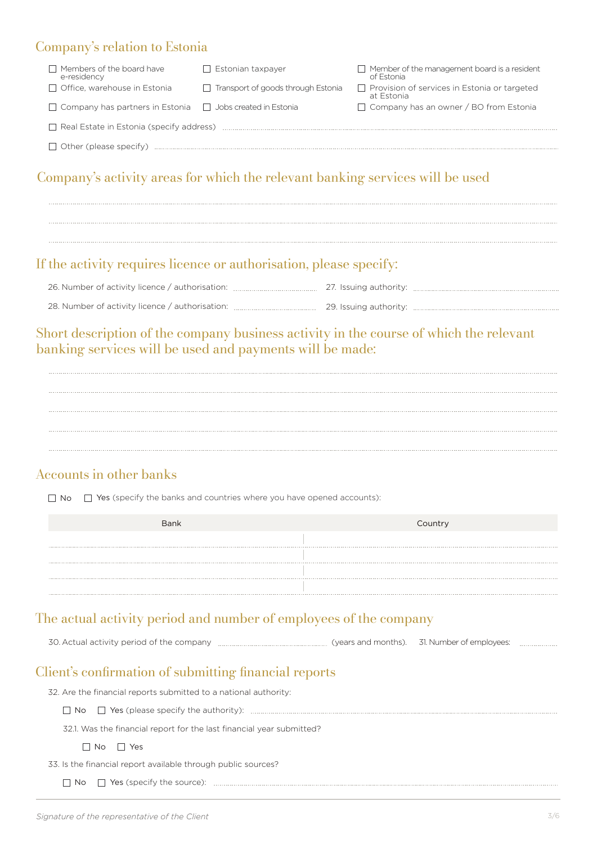### Company's relation to Estonia

| $\Box$ Members of the board have<br>e-residency                       | $\Box$ Estonian taxpayer                  | $\Box$ Member of the management board is a resident<br>of Estonia |  |
|-----------------------------------------------------------------------|-------------------------------------------|-------------------------------------------------------------------|--|
| $\Box$ Office, warehouse in Estonia                                   | $\Box$ Transport of goods through Estonia | $\Box$ Provision of services in Estonia or targeted<br>at Estonia |  |
| $\Box$ Company has partners in Estonia $\Box$ Jobs created in Estonia |                                           | $\Box$ Company has an owner / BO from Estonia                     |  |
| $\Box$ Real Estate in Estonia (specify address)                       |                                           |                                                                   |  |
| $\Box$ Other (please specify)                                         |                                           |                                                                   |  |

# Company's activity areas for which the relevant banking services will be used

#### If the activity requires licence or authorisation, please specify:

| 26. Number of activity licence / authorisation: | 27. Issuing authority: |
|-------------------------------------------------|------------------------|
| 28. Number of activity licence / authorisation: |                        |

### Short description of the company business activity in the course of which the relevant banking services will be used and payments will be made:



#### Accounts in other banks

 $\Box$  No  $\Box$  Yes (specify the banks and countries where you have opened accounts):

| Bank | Country |
|------|---------|
|      |         |
|      |         |
|      |         |
|      |         |

### The actual activity period and number of employees of the company

30. Actual activity period of the company (years and months). 31. Number of employees:

#### Client's confirmation of submitting financial reports

| 32. Are the financial reports submitted to a national authority:      |
|-----------------------------------------------------------------------|
|                                                                       |
| 32.1. Was the financial report for the last financial year submitted? |
| ll Noll Yes                                                           |
| 33. Is the financial report available through public sources?         |
|                                                                       |
|                                                                       |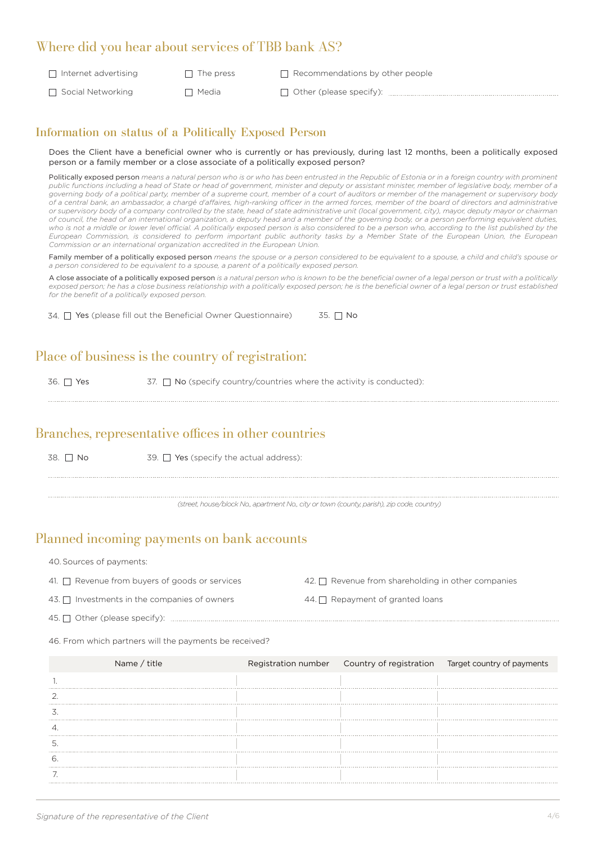#### Where did you hear about services of TBB bank AS?

 $\Box$  Internet advertising  $\Box$  The press  $\Box$  Social Networking  $\Box$  Media  $\Box$  Recommendations by other people Other (please specify):

#### Information on status of a Politically Exposed Person

Does the Client have a beneficial owner who is currently or has previously, during last 12 months, been a politically exposed person or a family member or a close associate of a politically exposed person?

Politically exposed person means a natural person who is or who has been entrusted in the Republic of Estonia or in a foreign country with prominent public functions including a head of State or head of government, minister and deputy or assistant minister, member of legislative body, member of a *governing body of a political party, member of a supreme court, member of a court of auditors or member of the management or supervisory body of a central bank, an ambassador, a chargé d'affaires, high-ranking officer in the armed forces, member of the board of directors and administrative or supervisory body of a company controlled by the state, head of state administrative unit (local government, city), mayor, deputy mayor or chairman of council, the head of an international organization, a deputy head and a member of the governing body, or a person performing equivalent duties,*  who is not a middle or lower level official. A politically exposed person is also considered to be a person who, according to the list published by the *European Commission, is considered to perform important public authority tasks by a Member State of the European Union, the European Commission or an international organization accredited in the European Union.*

Family member of a politically exposed person *means the spouse or a person considered to be equivalent to a spouse, a child and child's spouse or a person considered to be equivalent to a spouse, a parent of a politically exposed person.*

A close associate of a politically exposed person *is a natural person who is known to be the beneficial owner of a legal person or trust with a politically exposed person; he has a close business relationship with a politically exposed person; he is the beneficial owner of a legal person or trust established for the benefit of a politically exposed person.*

34.  $\Box$  Yes (please fill out the Beneficial Owner Questionnaire) 35.  $\Box$  No

### Place of business is the country of registration:

36.  $\Box$  Yes 37.  $\Box$  No (specify country/countries where the activity is conducted):

#### Branches, representative offices in other countries

38.  $\Box$  No 39.  $\Box$  Yes (specify the actual address):

*(street, house/block No., apartment No., city or town (county, parish), zip code, country)*

#### Planned incoming payments on bank accounts

40. Sources of payments:

- Revenue from buyers of goods or services  $\hspace{1cm} 42. \Box \hspace{1cm}$  Revenue from shareholding in other companies 43.  $\Box$  Investments in the companies of owners  $\Box$  A4.  $\Box$  Repayment of granted loans 41. <sup>O</sup> Revenue from buyers of goods or services 44. <sup>O</sup> Repayment of granted loans 45. Other (please specify):
- 46. From which partners will the payments be received?

| Name / title |  | Registration number  Country of registration  Target country of payments |
|--------------|--|--------------------------------------------------------------------------|
|              |  |                                                                          |
|              |  |                                                                          |
|              |  |                                                                          |
|              |  |                                                                          |
|              |  |                                                                          |
|              |  |                                                                          |
|              |  |                                                                          |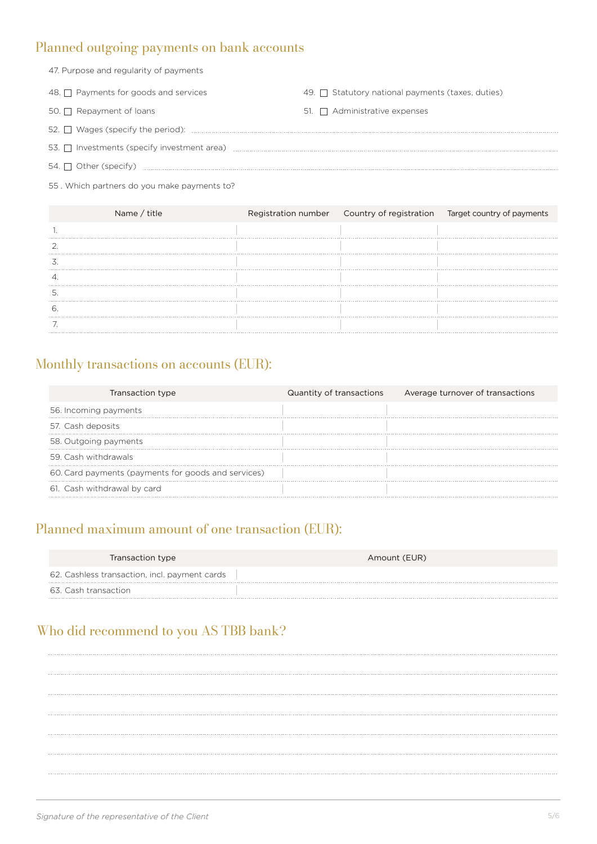# Planned outgoing payments on bank accounts

| 47. Purpose and regularity of payments     |                                                        |  |  |
|--------------------------------------------|--------------------------------------------------------|--|--|
| 48. $\Box$ Payments for goods and services | 49. $\Box$ Statutory national payments (taxes, duties) |  |  |
| $50. \Box$ Repayment of loans              | 51. $\Box$ Administrative expenses                     |  |  |
|                                            |                                                        |  |  |
|                                            |                                                        |  |  |
|                                            |                                                        |  |  |

55 . Which partners do you make payments to?

| Name / title |  | Registration number  Country of registration  Target country of payments |
|--------------|--|--------------------------------------------------------------------------|
|              |  |                                                                          |
|              |  |                                                                          |
|              |  |                                                                          |
|              |  |                                                                          |
|              |  |                                                                          |
|              |  |                                                                          |
|              |  |                                                                          |

# Monthly transactions on accounts (EUR):

| Transaction type                                    | Quantity of transactions | Average turnover of transactions |
|-----------------------------------------------------|--------------------------|----------------------------------|
| 56. Incoming payments                               |                          |                                  |
| 57. Cash deposits                                   |                          |                                  |
| 58. Outgoing payments                               |                          |                                  |
| 59. Cash withdrawals                                |                          |                                  |
| 60. Card payments (payments for goods and services) |                          |                                  |
| 61. Cash withdrawal by card                         |                          |                                  |

# Planned maximum amount of one transaction (EUR):

| Transaction type                              | Amount (EUR) |
|-----------------------------------------------|--------------|
| 62. Cashless transaction, incl. payment cards |              |
| 63. Cash transaction                          |              |

# Who did recommend to you AS TBB bank?